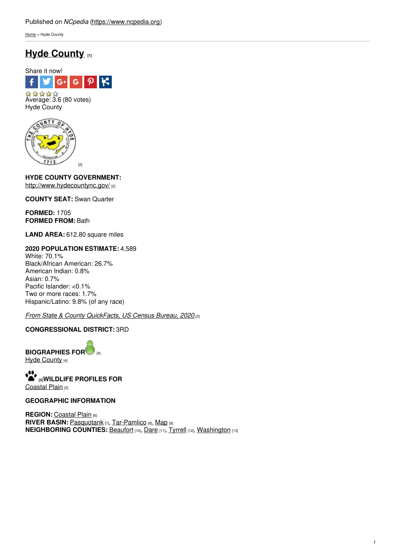[Home](https://www.ncpedia.org/) > Hyde County

# **Hyde [County](https://www.ncpedia.org/geography/hyde) [1]**





**HYDE COUNTY GOVERNMENT:** <http://www.hydecountync.gov/> [2]

**COUNTY SEAT:** Swan Quarter

**FORMED:** 1705 **FORMED FROM:** Bath

**LAND AREA:** 612.80 square miles

# **2020 POPULATION ESTIMATE:** 4,589

White: 70.1% Black/African American: 26.7% American Indian: 0.8% Asian: 0.7% Pacific Islander: <0.1% Two or more races: 1.7% Hispanic/Latino: 9.8% (of any race)

# *From State & County [QuickFacts,](https://www.census.gov/quickfacts/fact/table/hydecountynorthcarolina/POP010220) US Census Bureau, 2020.*[3]

# **CONGRESSIONAL DISTRICT:** 3RD

**BIOGRAPHIES FO[R](https://www.ncpedia.org/geography/hyde-county/biography)** [4] Hyde [County](https://www.ncpedia.org/geography/hyde-county/biography) [4]

**[5]WILDLIFE PROFILES FOR** [Coastal](https://www.ncpedia.org/wildlife/coastal-plain) Plain [5]

# **GEOGRAPHIC INFORMATION**

**REGION: [Coastal](https://www.ncpedia.org/geography/region/coastal-plain) Plain [6] RIVER BASIN:** [Pasquotank](https://files.nc.gov/deqee/documents/files/pasquotank.pdf) [7], [Tar-Pamlico](https://files.nc.gov/deqee/documents/files/tar-pamlico.pdf) [8], [Map](https://ncdenr.maps.arcgis.com/apps/PublicInformation/index.html?appid=f82f583438e74bf29adcc76247381eee) [9] **NEIGHBORING COUNTIES:** [Beaufort](https://www.ncpedia.org/geography/beaufort) [10], [Dare](https://www.ncpedia.org/geography/dare) [11], [Tyrrell](https://www.ncpedia.org/geography/tyrrell) [12], [Washington](https://www.ncpedia.org/geography/washington) [13]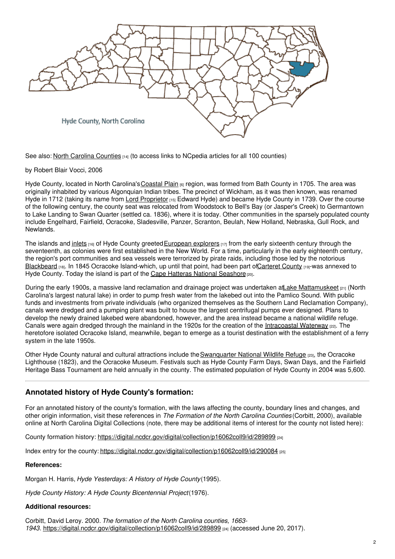

See also: North Carolina [Counties](https://www.ncpedia.org/geography/counties) [14] (to access links to NCpedia articles for all 100 counties)

by Robert Blair Vocci, 2006

Hyde County, located in North Carolina's [Coastal](https://www.ncpedia.org/geography/region/coastal-plain) Plain [6] region, was formed from Bath County in 1705. The area was originally inhabited by various Algonquian Indian tribes. The precinct of Wickham, as it was then known, was renamed Hyde in 1712 (taking its name from Lord [Proprietor](https://www.ncpedia.org/lords-proprietors) [15] Edward Hyde) and became Hyde County in 1739. Over the course of the following century, the county seat was relocated from Woodstock to Bell's Bay (or Jasper's Creek) to Germantown to Lake Landing to Swan Quarter (settled ca. 1836), where it is today. Other communities in the sparsely populated county include Engelhard, Fairfield, Ocracoke, Sladesville, Panzer, Scranton, Beulah, New Holland, Nebraska, Gull Rock, and Newlands.

The islands and [inlets](https://www.ncpedia.org/inlets)  $[16]$  of Hyde County greeted [European](https://www.ncpedia.org/exploration-european) explorers  $[17]$  from the early sixteenth century through the seventeenth, as colonies were first established in the New World. For a time, particularly in the early eighteenth century, the region's port communities and sea vessels were terrorized by pirate raids, including those led by the notorious [Blackbeard](https://www.ncpedia.org/biography/blackbeard-the-pirate) [18]. In 1845 Ocracoke Island-which, up until that point, had been part o[fCarteret](https://www.ncpedia.org/geography/carteret) County [19]-was annexed to Hyde County. Today the island is part of the Cape Hatteras National [Seashore](https://www.ncpedia.org/cape-hatteras-national-seashore)<sup>[20]</sup>.

During the early 1900s, a massive land reclamation and drainage project was undertaken at Lake [Mattamuskeet](https://www.ncpedia.org/lakes/lake-mattamuskeet) [21] (North Carolina's largest natural lake) in order to pump fresh water from the lakebed out into the Pamlico Sound. With public funds and investments from private individuals (who organized themselves as the Southern Land Reclamation Company), canals were dredged and a pumping plant was built to house the largest centrifugal pumps ever designed. Plans to develop the newly drained lakebed were abandoned, however, and the area instead became a national wildlife refuge. Canals were again dredged through the mainland in the 1920s for the creation of the [Intracoastal](https://www.ncpedia.org/intracoastal-waterway) Waterway [22]. The heretofore isolated Ocracoke Island, meanwhile, began to emerge as a tourist destination with the establishment of a ferry system in the late 1950s.

Other Hyde County natural and cultural attractions include the [Swanquarter](http://www.fws.gov/swanquarter/) National Wildlife Refuge [23], the Ocracoke Lighthouse (1823), and the Ocracoke Museum. Festivals such as Hyde County Farm Days, Swan Days, and the Fairfield Heritage Bass Tournament are held annually in the county. The estimated population of Hyde County in 2004 was 5,600.

# **Annotated history of Hyde County's formation:**

For an annotated history of the county's formation, with the laws affecting the county, boundary lines and changes, and other origin information, visit these references in *The Formation of the North Carolina Counties* (Corbitt, 2000), available online at North Carolina Digital Collections (note, there may be additional items of interest for the county not listed here):

County formation history: <https://digital.ncdcr.gov/digital/collection/p16062coll9/id/289899> [24]

Index entry for the county: <https://digital.ncdcr.gov/digital/collection/p16062coll9/id/290084> [25]

### **References:**

Morgan H. Harris, *Hyde Yesterdays: A History of Hyde County*(1995).

*Hyde County History: A Hyde County Bicentennial Project*(1976).

### **Additional resources:**

Corbitt, David Leroy. 2000. *The formation of the North Carolina counties, 1663- 1943*. <https://digital.ncdcr.gov/digital/collection/p16062coll9/id/289899> [24] (accessed June 20, 2017).